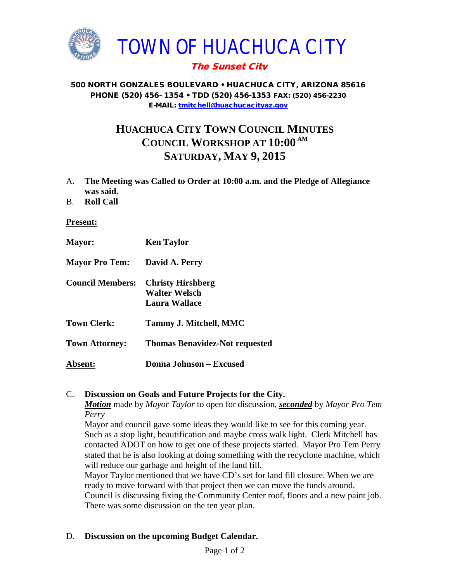

## The Sunset City

#### 500 NORTH GONZALES BOULEVARD • HUACHUCA CITY, ARIZONA 85616 PHONE (520) 456- 1354 • TDD (520) 456-1353 FAX: (520) 456-2230 E-MAIL: [tmitchell@huachucacityaz.gov](mailto:tmitchell@huachucacityaz.gov)

# **HUACHUCA CITY TOWN COUNCIL MINUTES COUNCIL WORKSHOP AT 10:00 AM SATURDAY, MAY 9, 2015**

- A. **The Meeting was Called to Order at 10:00 a.m. and the Pledge of Allegiance was said.**
- B. **Roll Call**

#### **Present:**

| <b>Mayor:</b>           | <b>Ken Taylor</b>                                          |
|-------------------------|------------------------------------------------------------|
| <b>Mayor Pro Tem:</b>   | David A. Perry                                             |
| <b>Council Members:</b> | <b>Christy Hirshberg</b><br>Walter Welsch<br>Laura Wallace |
| <b>Town Clerk:</b>      | Tammy J. Mitchell, MMC                                     |
| <b>Town Attorney:</b>   | <b>Thomas Benavidez-Not requested</b>                      |
| Absent:                 | Donna Johnson - Excused                                    |

#### C. **Discussion on Goals and Future Projects for the City.**

*Motion* made by *Mayor Taylor* to open for discussion, *seconded* by *Mayor Pro Tem Perry*

Mayor and council gave some ideas they would like to see for this coming year. Such as a stop light, beautification and maybe cross walk light. Clerk Mitchell has contacted ADOT on how to get one of these projects started. Mayor Pro Tem Perry stated that he is also looking at doing something with the recyclone machine, which will reduce our garbage and height of the land fill.

Mayor Taylor mentioned that we have CD's set for land fill closure. When we are ready to move forward with that project then we can move the funds around. Council is discussing fixing the Community Center roof, floors and a new paint job. There was some discussion on the ten year plan.

#### D. **Discussion on the upcoming Budget Calendar.**